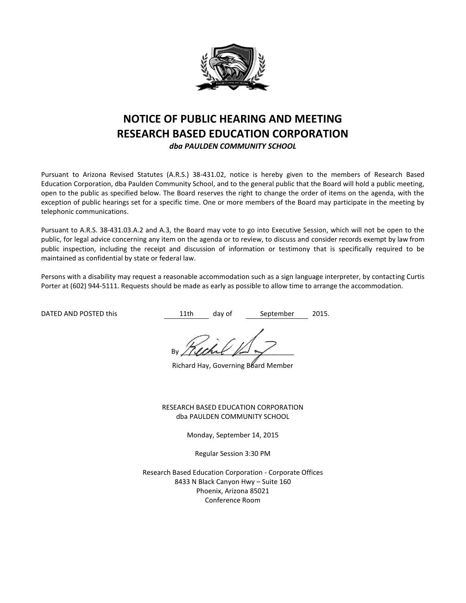

# **NOTICE OF PUBLIC HEARING AND MEETING RESEARCH BASED EDUCATION CORPORATION**

*dba PAULDEN COMMUNITY SCHOOL*

Pursuant to Arizona Revised Statutes (A.R.S.) 38-431.02, notice is hereby given to the members of Research Based Education Corporation, dba Paulden Community School, and to the general public that the Board will hold a public meeting, open to the public as specified below. The Board reserves the right to change the order of items on the agenda, with the exception of public hearings set for a specific time. One or more members of the Board may participate in the meeting by telephonic communications.

Pursuant to A.R.S. 38-431.03.A.2 and A.3, the Board may vote to go into Executive Session, which will not be open to the public, for legal advice concerning any item on the agenda or to review, to discuss and consider records exempt by law from public inspection, including the receipt and discussion of information or testimony that is specifically required to be maintained as confidential by state or federal law.

Persons with a disability may request a reasonable accommodation such as a sign language interpreter, by contacting Curtis Porter at (602) 944-5111. Requests should be made as early as possible to allow time to arrange the accommodation.

DATED AND POSTED this  $11$ th day of September 2015.

By / (land  $\mathbb{R}$ 

Richard Hay, Governing Board Member

RESEARCH BASED EDUCATION CORPORATION dba PAULDEN COMMUNITY SCHOOL

Monday, September 14, 2015

Regular Session 3:30 PM

Research Based Education Corporation - Corporate Offices 8433 N Black Canyon Hwy – Suite 160 Phoenix, Arizona 85021 Conference Room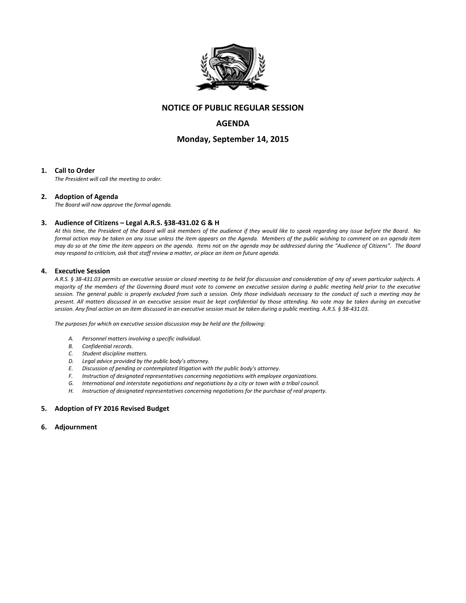

# **NOTICE OF PUBLIC REGULAR SESSION**

## **AGENDA**

## **Monday, September 14, 2015**

#### **1. Call to Order**

*The President will call the meeting to order.*

#### **2. Adoption of Agenda**

*The Board will now approve the formal agenda.*

#### **3. Audience of Citizens – Legal A.R.S. §38-431.02 G & H**

*At this time, the President of the Board will ask members of the audience if they would like to speak regarding any issue before the Board. No formal action may be taken on any issue unless the item appears on the Agenda. Members of the public wishing to comment on an agenda item may do so at the time the item appears on the agenda. Items not on the agenda may be addressed during the "Audience of Citizens". The Board may respond to criticism, ask that staff review a matter, or place an item on future agenda.*

#### **4. Executive Session**

*A.R.S. § 38-431.03 permits an executive session or closed meeting to be held for discussion and consideration of any of seven particular subjects. A majority of the members of the Governing Board must vote to convene an executive session during a public meeting held prior to the executive session. The general public is properly excluded from such a session. Only those individuals necessary to the conduct of such a meeting may be present. All matters discussed in an executive session must be kept confidential by those attending. No vote may be taken during an executive session. Any final action on an item discussed in an executive session must be taken during a public meeting. A.R.S. § 38-431.03.* 

*The purposes for which an executive session discussion may be held are the following:* 

- *A. Personnel matters involving a specific individual.*
- *B. Confidential records.*
- *C. Student discipline matters.*
- *D. Legal advice provided by the public body's attorney.*
- *E. Discussion of pending or contemplated litigation with the public body's attorney.*
- *F. Instruction of designated representatives concerning negotiations with employee organizations.*
- *G. International and interstate negotiations and negotiations by a city or town with a tribal council.*
- *H. Instruction of designated representatives concerning negotiations for the purchase of real property.*

#### **5. Adoption of FY 2016 Revised Budget**

**6. Adjournment**